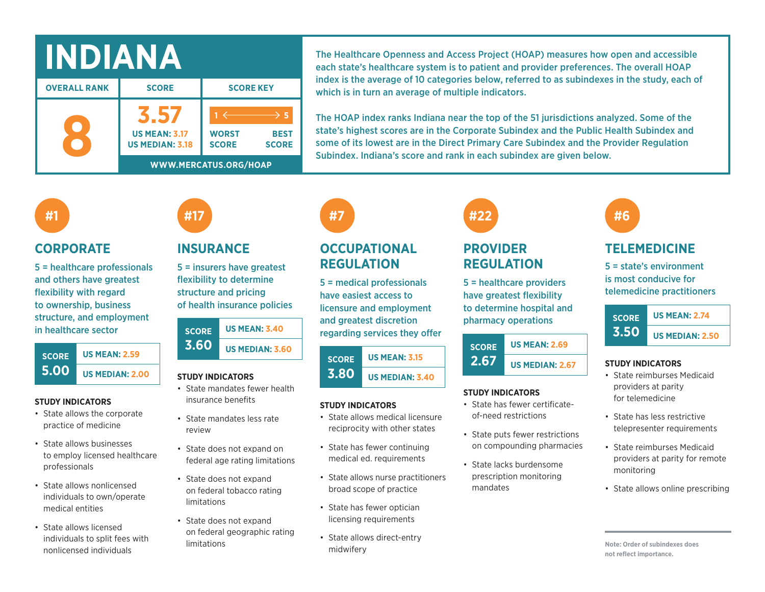| NDIANA              |                                                |                                                       |                             |  |  |  |
|---------------------|------------------------------------------------|-------------------------------------------------------|-----------------------------|--|--|--|
| <b>OVERALL RANK</b> | <b>SCORE</b>                                   | <b>SCORE KEY</b>                                      |                             |  |  |  |
|                     | <b>US MEAN: 3.17</b><br><b>US MEDIAN: 3.18</b> | <b>WORST</b><br><b>SCORE</b><br>WWW.MERCATUS.ORG/HOAP | <b>BEST</b><br><b>SCORE</b> |  |  |  |

The Healthcare Openness and Access Project (HOAP) measures how open and accessible each state's healthcare system is to patient and provider preferences. The overall HOAP index is the average of 10 categories below, referred to as subindexes in the study, each of which is in turn an average of multiple indicators.

The HOAP index ranks Indiana near the top of the 51 jurisdictions analyzed. Some of the state's highest scores are in the Corporate Subindex and the Public Health Subindex and some of its lowest are in the Direct Primary Care Subindex and the Provider Regulation Subindex. Indiana's score and rank in each subindex are given below.

## **#1**

### **CORPORATE**

5 = healthcare professionals and others have greatest flexibility with regard to ownership, business structure, and employment in healthcare sector



#### **STUDY INDICATORS**

- State allows the corporate practice of medicine
- State allows businesses to employ licensed healthcare professionals
- State allows nonlicensed individuals to own/operate medical entities
- State allows licensed individuals to split fees with nonlicensed individuals

## **INSURANCE**

**#17**

5 = insurers have greatest flexibility to determine structure and pricing of health insurance policies

| <b>SCORE</b> | <b>US MEAN: 3.40</b>   |  |  |  |  |
|--------------|------------------------|--|--|--|--|
| 3.60         | <b>US MEDIAN: 3.60</b> |  |  |  |  |

#### **STUDY INDICATORS**

- State mandates fewer health insurance benefits
- State mandates less rate review
- State does not expand on federal age rating limitations
- State does not expand on federal tobacco rating limitations
- State does not expand on federal geographic rating limitations

# **#7**

## **OCCUPATIONAL REGULATION**

5 = medical professionals have easiest access to licensure and employment and greatest discretion regarding services they offer

#### **SCORE 3.80 US MEAN: 3.15 US MEDIAN: 3.40**

#### **STUDY INDICATORS**

- State allows medical licensure reciprocity with other states
- State has fewer continuing medical ed. requirements
- State allows nurse practitioners broad scope of practice
- State has fewer optician licensing requirements
- State allows direct-entry midwifery

# **PROVIDER #22**

**REGULATION**

5 = healthcare providers have greatest flexibility to determine hospital and pharmacy operations



#### **STUDY INDICATORS**

- State has fewer certificateof-need restrictions
- State puts fewer restrictions on compounding pharmacies
- State lacks burdensome prescription monitoring mandates

## **TELEMEDICINE**

**#6**

5 = state's environment is most conducive for telemedicine practitioners



#### **STUDY INDICATORS**

- State reimburses Medicaid providers at parity for telemedicine
- State has less restrictive telepresenter requirements
- State reimburses Medicaid providers at parity for remote monitoring
- State allows online prescribing

**Note: Order of subindexes does not reflect importance.**